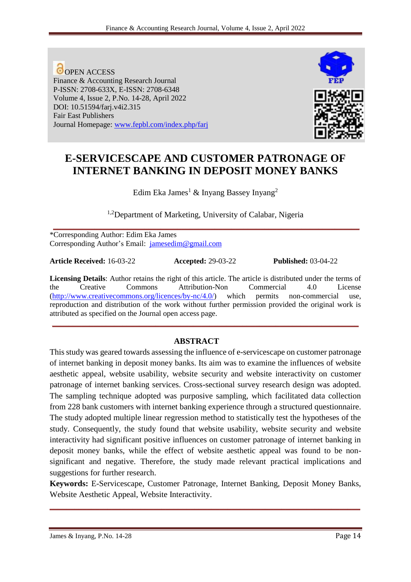**O** OPEN ACCESS Finance & Accounting Research Journal P-ISSN: 2708-633X, E-ISSN: 2708-6348 Volume 4, Issue 2, P.No. 14-28, April 2022 DOI: 10.51594/farj.v4i2.315 Fair East Publishers Journal Homepage: [www.fepbl.com/index.php/farj](http://www.fepbl.com/index.php/farj)



# **E-SERVICESCAPE AND CUSTOMER PATRONAGE OF INTERNET BANKING IN DEPOSIT MONEY BANKS**

Edim Eka James<sup>1</sup> & Inyang Bassey Inyang<sup>2</sup>

<sup>1,2</sup>Department of Marketing, University of Calabar, Nigeria **\_\_\_\_\_\_\_\_\_\_\_\_\_\_\_\_\_\_\_\_\_\_\_\_\_\_\_\_\_\_\_\_\_\_\_\_\_\_\_\_\_\_\_\_\_\_\_\_\_\_\_\_\_\_\_\_\_\_\_\_\_\_\_\_\_\_\_\_\_\_\_\_\_\_**

\*Corresponding Author: Edim Eka James Corresponding Author's Email: [jamesedim@gmail.com](mailto:jamesedim@gmail.com)

**Article Received:** 16-03-22 **Accepted:** 29-03-22 **Published:** 03-04-22

**Licensing Details**: Author retains the right of this article. The article is distributed under the terms of the Creative Commons Attribution-Non Commercial 4.0 License [\(http://www.creativecommons.org/licences/by-nc/4.0/\)](http://www.creativecommons.org/licences/by-nc/4.0/) which permits non-commercial use, reproduction and distribution of the work without further permission provided the original work is attributed as specified on the Journal open access page.

**\_\_\_\_\_\_\_\_\_\_\_\_\_\_\_\_\_\_\_\_\_\_\_\_\_\_\_\_\_\_\_\_\_\_\_\_\_\_\_\_\_\_\_\_\_\_\_\_\_\_\_\_\_\_\_\_\_\_\_\_\_\_\_\_\_\_\_\_\_\_\_\_\_\_**

# **ABSTRACT**

This study was geared towards assessing the influence of e-servicescape on customer patronage of internet banking in deposit money banks. Its aim was to examine the influences of website aesthetic appeal, website usability, website security and website interactivity on customer patronage of internet banking services. Cross-sectional survey research design was adopted. The sampling technique adopted was purposive sampling, which facilitated data collection from 228 bank customers with internet banking experience through a structured questionnaire. The study adopted multiple linear regression method to statistically test the hypotheses of the study. Consequently, the study found that website usability, website security and website interactivity had significant positive influences on customer patronage of internet banking in deposit money banks, while the effect of website aesthetic appeal was found to be nonsignificant and negative. Therefore, the study made relevant practical implications and suggestions for further research.

**Keywords:** E-Servicescape, Customer Patronage, Internet Banking, Deposit Money Banks, Website Aesthetic Appeal, Website Interactivity.

**\_\_\_\_\_\_\_\_\_\_\_\_\_\_\_\_\_\_\_\_\_\_\_\_\_\_\_\_\_\_\_\_\_\_\_\_\_\_\_\_\_\_\_\_\_\_\_\_\_\_\_\_\_\_\_\_\_\_\_\_\_\_\_\_\_\_\_\_\_\_\_\_\_\_\_**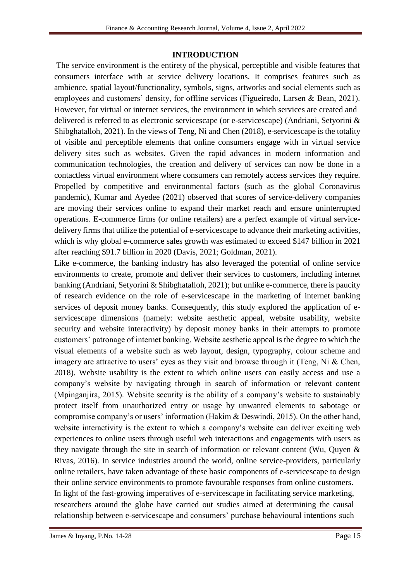#### **INTRODUCTION**

The service environment is the entirety of the physical, perceptible and visible features that consumers interface with at service delivery locations. It comprises features such as ambience, spatial layout/functionality, symbols, signs, artworks and social elements such as employees and customers' density, for offline services (Figueiredo, Larsen & Bean, 2021). However, for virtual or internet services, the environment in which services are created and delivered is referred to as electronic servicescape (or e-servicescape) (Andriani, Setyorini & Shibghatalloh, 2021). In the views of Teng, Ni and Chen (2018), e-servicescape is the totality of visible and perceptible elements that online consumers engage with in virtual service delivery sites such as websites. Given the rapid advances in modern information and communication technologies, the creation and delivery of services can now be done in a contactless virtual environment where consumers can remotely access services they require. Propelled by competitive and environmental factors (such as the global Coronavirus pandemic), Kumar and Ayedee (2021) observed that scores of service-delivery companies are moving their services online to expand their market reach and ensure uninterrupted operations. E-commerce firms (or online retailers) are a perfect example of virtual servicedelivery firms that utilize the potential of e-servicescape to advance their marketing activities, which is why global e-commerce sales growth was estimated to exceed \$147 billion in 2021 after reaching \$91.7 billion in 2020 (Davis, 2021; Goldman, 2021).

Like e-commerce, the banking industry has also leveraged the potential of online service environments to create, promote and deliver their services to customers, including internet banking (Andriani, Setyorini & Shibghatalloh, 2021); but unlike e-commerce, there is paucity of research evidence on the role of e-servicescape in the marketing of internet banking services of deposit money banks. Consequently, this study explored the application of eservicescape dimensions (namely: website aesthetic appeal, website usability, website security and website interactivity) by deposit money banks in their attempts to promote customers' patronage of internet banking. Website aesthetic appeal is the degree to which the visual elements of a website such as web layout, design, typography, colour scheme and imagery are attractive to users' eyes as they visit and browse through it (Teng, Ni & Chen, 2018). Website usability is the extent to which online users can easily access and use a company's website by navigating through in search of information or relevant content (Mpinganjira, 2015). Website security is the ability of a company's website to sustainably protect itself from unauthorized entry or usage by unwanted elements to sabotage or compromise company's or users' information (Hakim & Deswindi, 2015). On the other hand, website interactivity is the extent to which a company's website can deliver exciting web experiences to online users through useful web interactions and engagements with users as they navigate through the site in search of information or relevant content (Wu, Quyen & Rivas, 2016). In service industries around the world, online service-providers, particularly online retailers, have taken advantage of these basic components of e-servicescape to design their online service environments to promote favourable responses from online customers. In light of the fast-growing imperatives of e-servicescape in facilitating service marketing, researchers around the globe have carried out studies aimed at determining the causal relationship between e-servicescape and consumers' purchase behavioural intentions such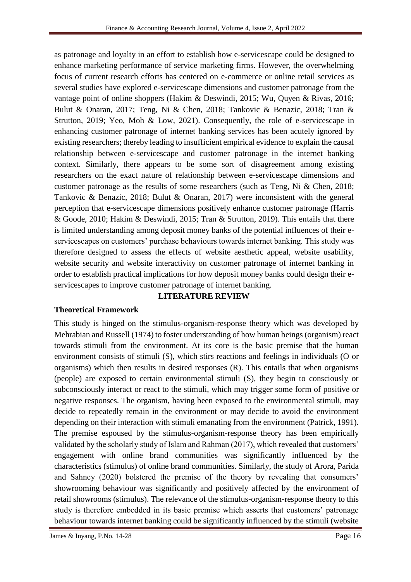as patronage and loyalty in an effort to establish how e-servicescape could be designed to enhance marketing performance of service marketing firms. However, the overwhelming focus of current research efforts has centered on e-commerce or online retail services as several studies have explored e-servicescape dimensions and customer patronage from the vantage point of online shoppers (Hakim & Deswindi, 2015; Wu, Quyen & Rivas, 2016; Bulut & Onaran, 2017; Teng, Ni & Chen, 2018; Tankovic & Benazic, 2018; Tran & Strutton, 2019; Yeo, Moh & Low, 2021). Consequently, the role of e-servicescape in enhancing customer patronage of internet banking services has been acutely ignored by existing researchers; thereby leading to insufficient empirical evidence to explain the causal relationship between e-servicescape and customer patronage in the internet banking context. Similarly, there appears to be some sort of disagreement among existing researchers on the exact nature of relationship between e-servicescape dimensions and customer patronage as the results of some researchers (such as Teng, Ni & Chen, 2018; Tankovic & Benazic, 2018; Bulut & Onaran, 2017) were inconsistent with the general perception that e-servicescape dimensions positively enhance customer patronage (Harris & Goode, 2010; Hakim & Deswindi, 2015; Tran & Strutton, 2019). This entails that there is limited understanding among deposit money banks of the potential influences of their eservicescapes on customers' purchase behaviours towards internet banking. This study was therefore designed to assess the effects of website aesthetic appeal, website usability, website security and website interactivity on customer patronage of internet banking in order to establish practical implications for how deposit money banks could design their eservicescapes to improve customer patronage of internet banking.

# **LITERATURE REVIEW**

### **Theoretical Framework**

James & Inyang, P.No. 14-28 Page 16 This study is hinged on the stimulus-organism-response theory which was developed by Mehrabian and Russell (1974) to foster understanding of how human beings (organism) react towards stimuli from the environment. At its core is the basic premise that the human environment consists of stimuli (S), which stirs reactions and feelings in individuals (O or organisms) which then results in desired responses (R). This entails that when organisms (people) are exposed to certain environmental stimuli (S), they begin to consciously or subconsciously interact or react to the stimuli, which may trigger some form of positive or negative responses. The organism, having been exposed to the environmental stimuli, may decide to repeatedly remain in the environment or may decide to avoid the environment depending on their interaction with stimuli emanating from the environment (Patrick, 1991). The premise espoused by the stimulus-organism-response theory has been empirically validated by the scholarly study of Islam and Rahman (2017), which revealed that customers' engagement with online brand communities was significantly influenced by the characteristics (stimulus) of online brand communities. Similarly, the study of Arora, Parida and Sahney (2020) bolstered the premise of the theory by revealing that consumers' showrooming behaviour was significantly and positively affected by the environment of retail showrooms (stimulus). The relevance of the stimulus-organism-response theory to this study is therefore embedded in its basic premise which asserts that customers' patronage behaviour towards internet banking could be significantly influenced by the stimuli (website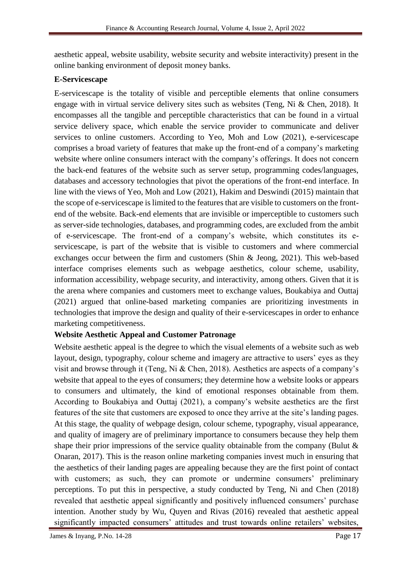aesthetic appeal, website usability, website security and website interactivity) present in the online banking environment of deposit money banks.

# **E-Servicescape**

E-servicescape is the totality of visible and perceptible elements that online consumers engage with in virtual service delivery sites such as websites (Teng, Ni & Chen, 2018). It encompasses all the tangible and perceptible characteristics that can be found in a virtual service delivery space, which enable the service provider to communicate and deliver services to online customers. According to Yeo, Moh and Low (2021), e-servicescape comprises a broad variety of features that make up the front-end of a company's marketing website where online consumers interact with the company's offerings. It does not concern the back-end features of the website such as server setup, programming codes/languages, databases and accessory technologies that pivot the operations of the front-end interface. In line with the views of Yeo, Moh and Low (2021), Hakim and Deswindi (2015) maintain that the scope of e-servicescape is limited to the features that are visible to customers on the frontend of the website. Back-end elements that are invisible or imperceptible to customers such as server-side technologies, databases, and programming codes, are excluded from the ambit of e-servicescape. The front-end of a company's website, which constitutes its eservicescape, is part of the website that is visible to customers and where commercial exchanges occur between the firm and customers (Shin & Jeong, 2021). This web-based interface comprises elements such as webpage aesthetics, colour scheme, usability, information accessibility, webpage security, and interactivity, among others. Given that it is the arena where companies and customers meet to exchange values, Boukabiya and Outtaj (2021) argued that online-based marketing companies are prioritizing investments in technologies that improve the design and quality of their e-servicescapes in order to enhance marketing competitiveness.

# **Website Aesthetic Appeal and Customer Patronage**

Website aesthetic appeal is the degree to which the visual elements of a website such as web layout, design, typography, colour scheme and imagery are attractive to users' eyes as they visit and browse through it (Teng, Ni & Chen, 2018). Aesthetics are aspects of a company's website that appeal to the eyes of consumers; they determine how a website looks or appears to consumers and ultimately, the kind of emotional responses obtainable from them. According to Boukabiya and Outtaj (2021), a company's website aesthetics are the first features of the site that customers are exposed to once they arrive at the site's landing pages. At this stage, the quality of webpage design, colour scheme, typography, visual appearance, and quality of imagery are of preliminary importance to consumers because they help them shape their prior impressions of the service quality obtainable from the company (Bulut  $\&$ Onaran, 2017). This is the reason online marketing companies invest much in ensuring that the aesthetics of their landing pages are appealing because they are the first point of contact with customers; as such, they can promote or undermine consumers' preliminary perceptions. To put this in perspective, a study conducted by Teng, Ni and Chen (2018) revealed that aesthetic appeal significantly and positively influenced consumers' purchase intention. Another study by Wu, Quyen and Rivas (2016) revealed that aesthetic appeal significantly impacted consumers' attitudes and trust towards online retailers' websites,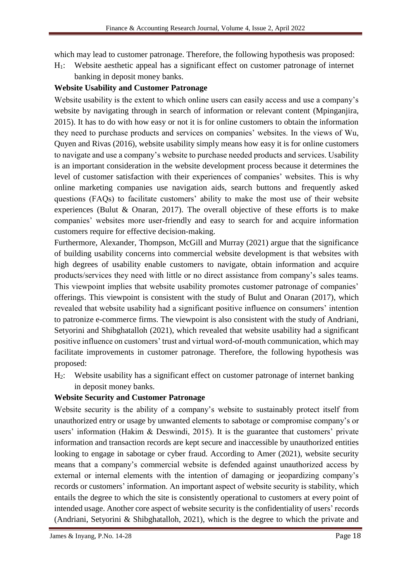which may lead to customer patronage. Therefore, the following hypothesis was proposed:

H1: Website aesthetic appeal has a significant effect on customer patronage of internet banking in deposit money banks.

### **Website Usability and Customer Patronage**

Website usability is the extent to which online users can easily access and use a company's website by navigating through in search of information or relevant content (Mpinganjira, 2015). It has to do with how easy or not it is for online customers to obtain the information they need to purchase products and services on companies' websites. In the views of Wu, Quyen and Rivas (2016), website usability simply means how easy it is for online customers to navigate and use a company's website to purchase needed products and services. Usability is an important consideration in the website development process because it determines the level of customer satisfaction with their experiences of companies' websites. This is why online marketing companies use navigation aids, search buttons and frequently asked questions (FAQs) to facilitate customers' ability to make the most use of their website experiences (Bulut & Onaran, 2017). The overall objective of these efforts is to make companies' websites more user-friendly and easy to search for and acquire information customers require for effective decision-making.

Furthermore, Alexander, Thompson, McGill and Murray (2021) argue that the significance of building usability concerns into commercial website development is that websites with high degrees of usability enable customers to navigate, obtain information and acquire products/services they need with little or no direct assistance from company's sales teams. This viewpoint implies that website usability promotes customer patronage of companies' offerings. This viewpoint is consistent with the study of Bulut and Onaran (2017), which revealed that website usability had a significant positive influence on consumers' intention to patronize e-commerce firms. The viewpoint is also consistent with the study of Andriani, Setyorini and Shibghatalloh (2021), which revealed that website usability had a significant positive influence on customers' trust and virtual word-of-mouth communication, which may facilitate improvements in customer patronage. Therefore, the following hypothesis was proposed:

H2: Website usability has a significant effect on customer patronage of internet banking in deposit money banks.

### **Website Security and Customer Patronage**

Website security is the ability of a company's website to sustainably protect itself from unauthorized entry or usage by unwanted elements to sabotage or compromise company's or users' information (Hakim & Deswindi, 2015). It is the guarantee that customers' private information and transaction records are kept secure and inaccessible by unauthorized entities looking to engage in sabotage or cyber fraud. According to Amer (2021), website security means that a company's commercial website is defended against unauthorized access by external or internal elements with the intention of damaging or jeopardizing company's records or customers' information. An important aspect of website security is stability, which entails the degree to which the site is consistently operational to customers at every point of intended usage. Another core aspect of website security is the confidentiality of users' records (Andriani, Setyorini & Shibghatalloh, 2021), which is the degree to which the private and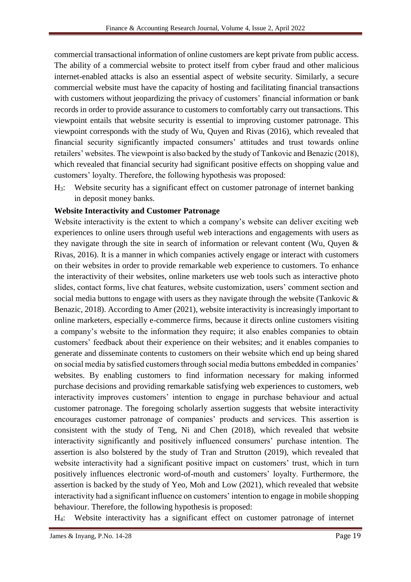commercial transactional information of online customers are kept private from public access. The ability of a commercial website to protect itself from cyber fraud and other malicious internet-enabled attacks is also an essential aspect of website security. Similarly, a secure commercial website must have the capacity of hosting and facilitating financial transactions with customers without jeopardizing the privacy of customers' financial information or bank records in order to provide assurance to customers to comfortably carry out transactions. This viewpoint entails that website security is essential to improving customer patronage. This viewpoint corresponds with the study of Wu, Quyen and Rivas (2016), which revealed that financial security significantly impacted consumers' attitudes and trust towards online retailers' websites. The viewpoint is also backed by the study of Tankovic and Benazic (2018), which revealed that financial security had significant positive effects on shopping value and customers' loyalty. Therefore, the following hypothesis was proposed:

H3: Website security has a significant effect on customer patronage of internet banking in deposit money banks.

# **Website Interactivity and Customer Patronage**

Website interactivity is the extent to which a company's website can deliver exciting web experiences to online users through useful web interactions and engagements with users as they navigate through the site in search of information or relevant content (Wu, Quyen & Rivas, 2016). It is a manner in which companies actively engage or interact with customers on their websites in order to provide remarkable web experience to customers. To enhance the interactivity of their websites, online marketers use web tools such as interactive photo slides, contact forms, live chat features, website customization, users' comment section and social media buttons to engage with users as they navigate through the website (Tankovic & Benazic, 2018). According to Amer (2021), website interactivity is increasingly important to online marketers, especially e-commerce firms, because it directs online customers visiting a company's website to the information they require; it also enables companies to obtain customers' feedback about their experience on their websites; and it enables companies to generate and disseminate contents to customers on their website which end up being shared on social media by satisfied customers through social media buttons embedded in companies' websites. By enabling customers to find information necessary for making informed purchase decisions and providing remarkable satisfying web experiences to customers, web interactivity improves customers' intention to engage in purchase behaviour and actual customer patronage. The foregoing scholarly assertion suggests that website interactivity encourages customer patronage of companies' products and services. This assertion is consistent with the study of Teng, Ni and Chen (2018), which revealed that website interactivity significantly and positively influenced consumers' purchase intention. The assertion is also bolstered by the study of Tran and Strutton (2019), which revealed that website interactivity had a significant positive impact on customers' trust, which in turn positively influences electronic word-of-mouth and customers' loyalty. Furthermore, the assertion is backed by the study of Yeo, Moh and Low (2021), which revealed that website interactivity had a significant influence on customers' intention to engage in mobile shopping behaviour. Therefore, the following hypothesis is proposed:

H4: Website interactivity has a significant effect on customer patronage of internet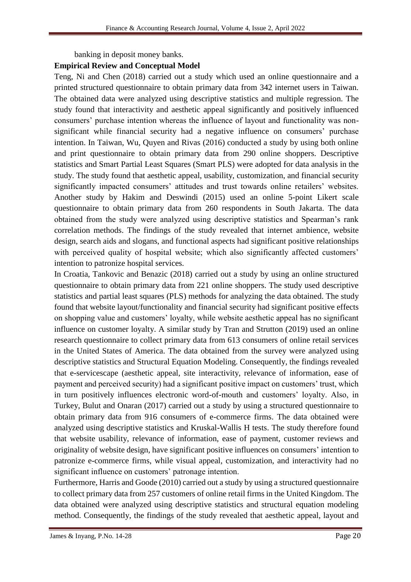banking in deposit money banks.

#### **Empirical Review and Conceptual Model**

Teng, Ni and Chen (2018) carried out a study which used an online questionnaire and a printed structured questionnaire to obtain primary data from 342 internet users in Taiwan. The obtained data were analyzed using descriptive statistics and multiple regression. The study found that interactivity and aesthetic appeal significantly and positively influenced consumers' purchase intention whereas the influence of layout and functionality was nonsignificant while financial security had a negative influence on consumers' purchase intention. In Taiwan, Wu, Quyen and Rivas (2016) conducted a study by using both online and print questionnaire to obtain primary data from 290 online shoppers. Descriptive statistics and Smart Partial Least Squares (Smart PLS) were adopted for data analysis in the study. The study found that aesthetic appeal, usability, customization, and financial security significantly impacted consumers' attitudes and trust towards online retailers' websites. Another study by Hakim and Deswindi (2015) used an online 5-point Likert scale questionnaire to obtain primary data from 260 respondents in South Jakarta. The data obtained from the study were analyzed using descriptive statistics and Spearman's rank correlation methods. The findings of the study revealed that internet ambience, website design, search aids and slogans, and functional aspects had significant positive relationships with perceived quality of hospital website; which also significantly affected customers' intention to patronize hospital services.

In Croatia, Tankovic and Benazic (2018) carried out a study by using an online structured questionnaire to obtain primary data from 221 online shoppers. The study used descriptive statistics and partial least squares (PLS) methods for analyzing the data obtained. The study found that website layout/functionality and financial security had significant positive effects on shopping value and customers' loyalty, while website aesthetic appeal has no significant influence on customer loyalty. A similar study by Tran and Strutton (2019) used an online research questionnaire to collect primary data from 613 consumers of online retail services in the United States of America. The data obtained from the survey were analyzed using descriptive statistics and Structural Equation Modeling. Consequently, the findings revealed that e-servicescape (aesthetic appeal, site interactivity, relevance of information, ease of payment and perceived security) had a significant positive impact on customers' trust, which in turn positively influences electronic word-of-mouth and customers' loyalty. Also, in Turkey, Bulut and Onaran (2017) carried out a study by using a structured questionnaire to obtain primary data from 916 consumers of e-commerce firms. The data obtained were analyzed using descriptive statistics and Kruskal-Wallis H tests. The study therefore found that website usability, relevance of information, ease of payment, customer reviews and originality of website design, have significant positive influences on consumers' intention to patronize e-commerce firms, while visual appeal, customization, and interactivity had no significant influence on customers' patronage intention.

Furthermore, Harris and Goode (2010) carried out a study by using a structured questionnaire to collect primary data from 257 customers of online retail firms in the United Kingdom. The data obtained were analyzed using descriptive statistics and structural equation modeling method. Consequently, the findings of the study revealed that aesthetic appeal, layout and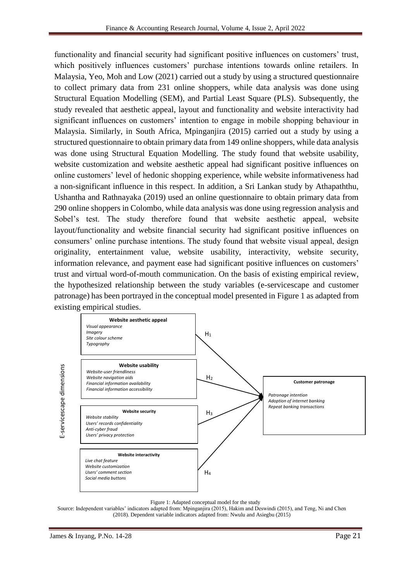functionality and financial security had significant positive influences on customers' trust, which positively influences customers' purchase intentions towards online retailers. In Malaysia, Yeo, Moh and Low (2021) carried out a study by using a structured questionnaire to collect primary data from 231 online shoppers, while data analysis was done using Structural Equation Modelling (SEM), and Partial Least Square (PLS). Subsequently, the study revealed that aesthetic appeal, layout and functionality and website interactivity had significant influences on customers' intention to engage in mobile shopping behaviour in Malaysia. Similarly, in South Africa, Mpinganjira (2015) carried out a study by using a structured questionnaire to obtain primary data from 149 online shoppers, while data analysis was done using Structural Equation Modelling. The study found that website usability, website customization and website aesthetic appeal had significant positive influences on online customers' level of hedonic shopping experience, while website informativeness had a non-significant influence in this respect. In addition, a Sri Lankan study by Athapaththu, Ushantha and Rathnayaka (2019) used an online questionnaire to obtain primary data from 290 online shoppers in Colombo, while data analysis was done using regression analysis and Sobel's test. The study therefore found that website aesthetic appeal, website layout/functionality and website financial security had significant positive influences on consumers' online purchase intentions. The study found that website visual appeal, design originality, entertainment value, website usability, interactivity, website security, information relevance, and payment ease had significant positive influences on customers' trust and virtual word-of-mouth communication. On the basis of existing empirical review, the hypothesized relationship between the study variables (e-servicescape and customer patronage) has been portrayed in the conceptual model presented in Figure 1 as adapted from existing empirical studies.



#### Figure 1: Adapted conceptual model for the study

Source: Independent variables' indicators adapted from: Mpinganjira (2015), Hakim and Deswindi (2015), and Teng, Ni and Chen (2018). Dependent variable indicators adapted from: Nwulu and Asiegbu (2015)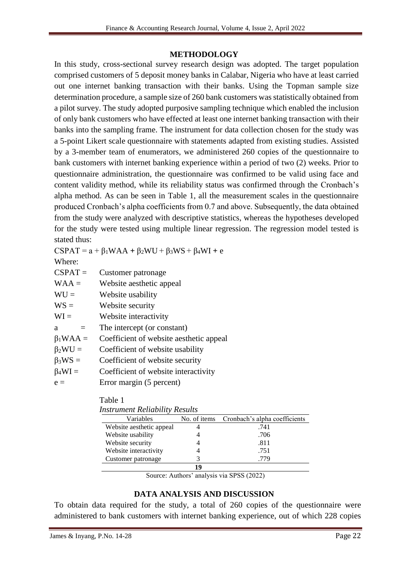#### **METHODOLOGY**

In this study, cross-sectional survey research design was adopted. The target population comprised customers of 5 deposit money banks in Calabar, Nigeria who have at least carried out one internet banking transaction with their banks. Using the Topman sample size determination procedure, a sample size of 260 bank customers was statistically obtained from a pilot survey. The study adopted purposive sampling technique which enabled the inclusion of only bank customers who have effected at least one internet banking transaction with their banks into the sampling frame. The instrument for data collection chosen for the study was a 5-point Likert scale questionnaire with statements adapted from existing studies. Assisted by a 3-member team of enumerators, we administered 260 copies of the questionnaire to bank customers with internet banking experience within a period of two (2) weeks. Prior to questionnaire administration, the questionnaire was confirmed to be valid using face and content validity method, while its reliability status was confirmed through the Cronbach's alpha method. As can be seen in Table 1, all the measurement scales in the questionnaire produced Cronbach's alpha coefficients from 0.7 and above. Subsequently, the data obtained from the study were analyzed with descriptive statistics, whereas the hypotheses developed for the study were tested using multiple linear regression. The regression model tested is stated thus:

 $CSPAT = a + \beta_1 WAA + \beta_2 WU + \beta_3 WS + \beta_4 WI + e$ 

Where:

| $CSPAT =$ | Customer patronage |
|-----------|--------------------|
|-----------|--------------------|

 $WAA =$  Website aesthetic appeal

 $WU =$  Website usability

 $WS =$  Website security

 $WI =$  Website interactivity

 $a =$  The intercept (or constant)

 $\beta_1 WAA =$  Coefficient of website aesthetic appeal

- $\beta_2 WU =$  Coefficient of website usability
- $\beta_3WS =$  Coefficient of website security
- $\beta_4 WI =$  Coefficient of website interactivity

 $e =$  Error margin (5 percent)

### Table 1

| <b>Instrument Reliability Results</b> |    |                                            |  |  |  |
|---------------------------------------|----|--------------------------------------------|--|--|--|
| Variables                             |    | No. of items Cronbach's alpha coefficients |  |  |  |
| Website aesthetic appeal              |    | .741                                       |  |  |  |
| Website usability                     |    | .706                                       |  |  |  |
| Website security                      |    | .811                                       |  |  |  |
| Website interactivity                 |    | .751                                       |  |  |  |
| Customer patronage                    |    | .779                                       |  |  |  |
|                                       | 14 |                                            |  |  |  |

Source: Authors' analysis via SPSS (2022)

### **DATA ANALYSIS AND DISCUSSION**

To obtain data required for the study, a total of 260 copies of the questionnaire were administered to bank customers with internet banking experience, out of which 228 copies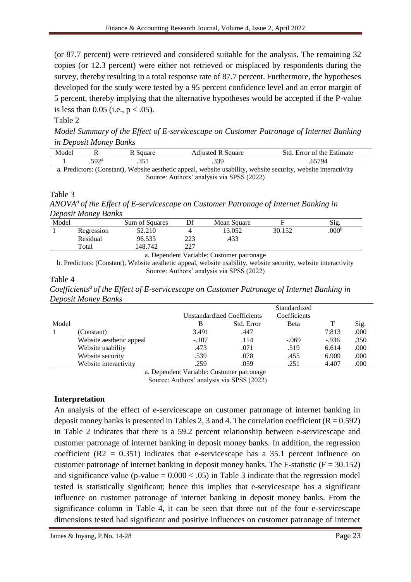(or 87.7 percent) were retrieved and considered suitable for the analysis. The remaining 32 copies (or 12.3 percent) were either not retrieved or misplaced by respondents during the survey, thereby resulting in a total response rate of 87.7 percent. Furthermore, the hypotheses developed for the study were tested by a 95 percent confidence level and an error margin of 5 percent, thereby implying that the alternative hypotheses would be accepted if the P-value is less than 0.05 (i.e.,  $p < .05$ ).

### Table 2

*Model Summary of the Effect of E-servicescape on Customer Patronage of Internet Banking in Deposit Money Banks* 

| ode                                        | $\overline{\phantom{a}}$       |        | $-0.420$ | ٠+٠<br>ィヤヤヘヤ<br>the.<br>aate<br>ี ∩1<br>$\sim$ $\sim$<br>and the control of the con-<br>$\sim$ |  |
|--------------------------------------------|--------------------------------|--------|----------|------------------------------------------------------------------------------------------------|--|
|                                            | $\tau \cap \gamma$<br>ت<br>- - | $\sim$ | $\sim$   | - -                                                                                            |  |
| <b>TT</b><br>the contract of the con-<br>. |                                |        |          |                                                                                                |  |

a. Predictors: (Constant), Website aesthetic appeal, website usability, website security, website interactivity Source: Authors' analysis via SPSS (2022)

#### Table 3

*ANOVA<sup>a</sup>of the Effect of E-servicescape on Customer Patronage of Internet Banking in Deposit Money Banks*

| Model |            | Sum of Squares | Df         | Mean Square |        | Sig.              |
|-------|------------|----------------|------------|-------------|--------|-------------------|
|       | Regression | 52.210         |            | 13.052      | 30.152 | .000 <sup>b</sup> |
|       | Residual   | 96.533         | つつつ<br>دعد | .433        |        |                   |
|       | Total      | 148.742        | つつつ        |             |        |                   |
|       |            | -              |            |             |        |                   |

a. Dependent Variable: Customer patronage

b. Predictors: (Constant), Website aesthetic appeal, website usability, website security, website interactivity Source: Authors' analysis via SPSS (2022)

#### Table 4 *Coefficients<sup>a</sup>of the Effect of E-servicescape on Customer Patronage of Internet Banking in Deposit Money Banks*

|                                           |                          |         |                                    | Standardized |        |      |  |
|-------------------------------------------|--------------------------|---------|------------------------------------|--------------|--------|------|--|
|                                           |                          |         | <b>Unstandardized Coefficients</b> | Coefficients |        |      |  |
| Model                                     |                          | В       | Std. Error                         | Beta         |        | Sig. |  |
|                                           | (Constant)               | 3.491   | .447                               |              | 7.813  | .000 |  |
|                                           | Website aesthetic appeal | $-.107$ | .114                               | $-.069$      | $-936$ | .350 |  |
|                                           | Website usability        | .473    | .071                               | .519         | 6.614  | .000 |  |
|                                           | Website security         | .539    | .078                               | .455         | 6.909  | .000 |  |
|                                           | Website interactivity    | .259    | .059                               | .251         | 4.407  | .000 |  |
| o Donandant Variables Customan naturanage |                          |         |                                    |              |        |      |  |

a. Dependent Variable: Customer patronage Source: Authors' analysis via SPSS (2022)

### **Interpretation**

An analysis of the effect of e-servicescape on customer patronage of internet banking in deposit money banks is presented in Tables 2, 3 and 4. The correlation coefficient  $(R = 0.592)$ in Table 2 indicates that there is a 59.2 percent relationship between e-servicescape and customer patronage of internet banking in deposit money banks. In addition, the regression coefficient  $(R2 = 0.351)$  indicates that e-servicescape has a 35.1 percent influence on customer patronage of internet banking in deposit money banks. The F-statistic  $(F = 30.152)$ and significance value (p-value  $= 0.000 < .05$ ) in Table 3 indicate that the regression model tested is statistically significant; hence this implies that e-servicescape has a significant influence on customer patronage of internet banking in deposit money banks. From the significance column in Table 4, it can be seen that three out of the four e-servicescape dimensions tested had significant and positive influences on customer patronage of internet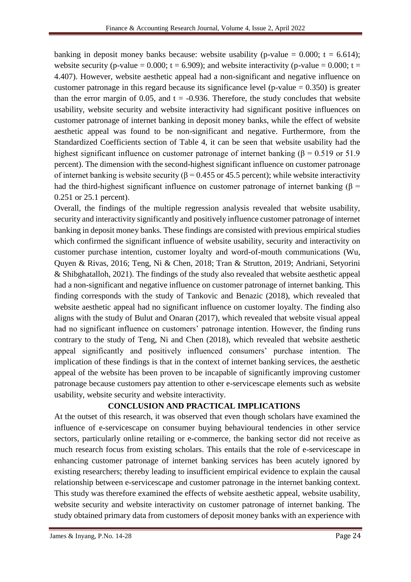banking in deposit money banks because: website usability (p-value  $= 0.000$ ; t  $= 6.614$ ); website security (p-value = 0.000;  $t = 6.909$ ); and website interactivity (p-value = 0.000;  $t =$ 4.407). However, website aesthetic appeal had a non-significant and negative influence on customer patronage in this regard because its significance level (p-value  $= 0.350$ ) is greater than the error margin of 0.05, and  $t = -0.936$ . Therefore, the study concludes that website usability, website security and website interactivity had significant positive influences on customer patronage of internet banking in deposit money banks, while the effect of website aesthetic appeal was found to be non-significant and negative. Furthermore, from the Standardized Coefficients section of Table 4, it can be seen that website usability had the highest significant influence on customer patronage of internet banking ( $\beta = 0.519$  or 51.9 percent). The dimension with the second-highest significant influence on customer patronage of internet banking is website security ( $\beta$  = 0.455 or 45.5 percent); while website interactivity had the third-highest significant influence on customer patronage of internet banking ( $\beta$  = 0.251 or 25.1 percent).

Overall, the findings of the multiple regression analysis revealed that website usability, security and interactivity significantly and positively influence customer patronage of internet banking in deposit money banks. These findings are consisted with previous empirical studies which confirmed the significant influence of website usability, security and interactivity on customer purchase intention, customer loyalty and word-of-mouth communications (Wu, Quyen & Rivas, 2016; Teng, Ni & Chen, 2018; Tran & Strutton, 2019; Andriani, Setyorini & Shibghatalloh, 2021). The findings of the study also revealed that website aesthetic appeal had a non-significant and negative influence on customer patronage of internet banking. This finding corresponds with the study of Tankovic and Benazic (2018), which revealed that website aesthetic appeal had no significant influence on customer loyalty. The finding also aligns with the study of Bulut and Onaran (2017), which revealed that website visual appeal had no significant influence on customers' patronage intention. However, the finding runs contrary to the study of Teng, Ni and Chen (2018), which revealed that website aesthetic appeal significantly and positively influenced consumers' purchase intention. The implication of these findings is that in the context of internet banking services, the aesthetic appeal of the website has been proven to be incapable of significantly improving customer patronage because customers pay attention to other e-servicescape elements such as website usability, website security and website interactivity.

# **CONCLUSION AND PRACTICAL IMPLICATIONS**

At the outset of this research, it was observed that even though scholars have examined the influence of e-servicescape on consumer buying behavioural tendencies in other service sectors, particularly online retailing or e-commerce, the banking sector did not receive as much research focus from existing scholars. This entails that the role of e-servicescape in enhancing customer patronage of internet banking services has been acutely ignored by existing researchers; thereby leading to insufficient empirical evidence to explain the causal relationship between e-servicescape and customer patronage in the internet banking context. This study was therefore examined the effects of website aesthetic appeal, website usability, website security and website interactivity on customer patronage of internet banking. The study obtained primary data from customers of deposit money banks with an experience with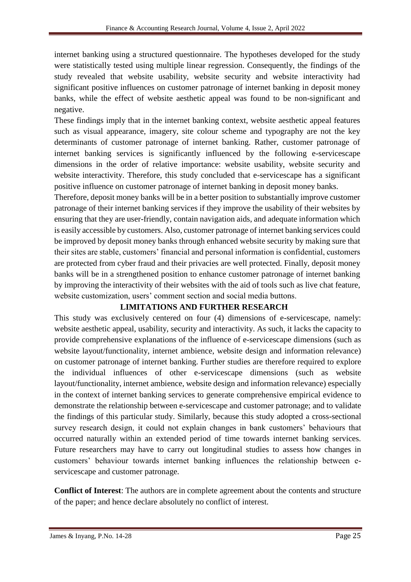internet banking using a structured questionnaire. The hypotheses developed for the study were statistically tested using multiple linear regression. Consequently, the findings of the study revealed that website usability, website security and website interactivity had significant positive influences on customer patronage of internet banking in deposit money banks, while the effect of website aesthetic appeal was found to be non-significant and negative.

These findings imply that in the internet banking context, website aesthetic appeal features such as visual appearance, imagery, site colour scheme and typography are not the key determinants of customer patronage of internet banking. Rather, customer patronage of internet banking services is significantly influenced by the following e-servicescape dimensions in the order of relative importance: website usability, website security and website interactivity. Therefore, this study concluded that e-servicescape has a significant positive influence on customer patronage of internet banking in deposit money banks.

Therefore, deposit money banks will be in a better position to substantially improve customer patronage of their internet banking services if they improve the usability of their websites by ensuring that they are user-friendly, contain navigation aids, and adequate information which is easily accessible by customers. Also, customer patronage of internet banking services could be improved by deposit money banks through enhanced website security by making sure that their sites are stable, customers' financial and personal information is confidential, customers are protected from cyber fraud and their privacies are well protected. Finally, deposit money banks will be in a strengthened position to enhance customer patronage of internet banking by improving the interactivity of their websites with the aid of tools such as live chat feature, website customization, users' comment section and social media buttons.

# **LIMITATIONS AND FURTHER RESEARCH**

This study was exclusively centered on four (4) dimensions of e-servicescape, namely: website aesthetic appeal, usability, security and interactivity. As such, it lacks the capacity to provide comprehensive explanations of the influence of e-servicescape dimensions (such as website layout/functionality, internet ambience, website design and information relevance) on customer patronage of internet banking. Further studies are therefore required to explore the individual influences of other e-servicescape dimensions (such as website layout/functionality, internet ambience, website design and information relevance) especially in the context of internet banking services to generate comprehensive empirical evidence to demonstrate the relationship between e-servicescape and customer patronage; and to validate the findings of this particular study. Similarly, because this study adopted a cross-sectional survey research design, it could not explain changes in bank customers' behaviours that occurred naturally within an extended period of time towards internet banking services. Future researchers may have to carry out longitudinal studies to assess how changes in customers' behaviour towards internet banking influences the relationship between eservicescape and customer patronage.

**Conflict of Interest**: The authors are in complete agreement about the contents and structure of the paper; and hence declare absolutely no conflict of interest.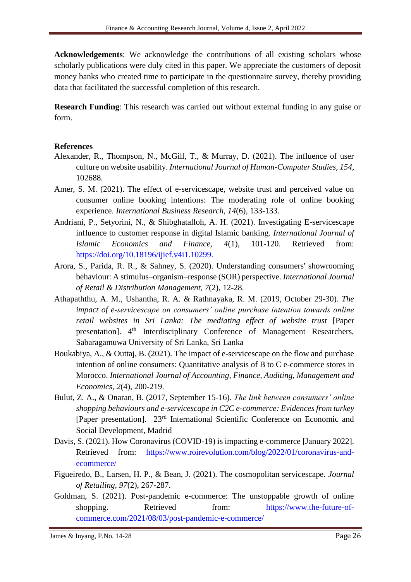**Acknowledgements**: We acknowledge the contributions of all existing scholars whose scholarly publications were duly cited in this paper. We appreciate the customers of deposit money banks who created time to participate in the questionnaire survey, thereby providing data that facilitated the successful completion of this research.

**Research Funding**: This research was carried out without external funding in any guise or form.

#### **References**

- Alexander, R., Thompson, N., McGill, T., & Murray, D. (2021). The influence of user culture on website usability. *International Journal of Human-Computer Studies, 154*, 102688.
- Amer, S. M. (2021). The effect of e-servicescape, website trust and perceived value on consumer online booking intentions: The moderating role of online booking experience. *International Business Research, 14*(6), 133-133.
- Andriani, P., Setyorini, N., & Shibghatalloh, A. H. (2021). Investigating E-servicescape influence to customer response in digital Islamic banking. *International Journal of Islamic Economics and Finance, 4*(1), 101-120. Retrieved from: [https://doi.org/10.18196/ijief.v4i1.10299.](https://doi.org/10.18196/ijief.v4i1.10299)
- Arora, S., Parida, R. R., & Sahney, S. (2020). Understanding consumers' showrooming behaviour: A stimulus–organism–response (SOR) perspective. *International Journal of Retail & Distribution Management, 7*(2), 12-28*.*
- Athapaththu, A. M., Ushantha, R. A. & Rathnayaka, R. M. (2019, October 29-30). *The impact of e-servicescape on consumers' online purchase intention towards online retail websites in Sri Lanka: The mediating effect of website trust* [Paper presentation]. 4<sup>th</sup> Interdisciplinary Conference of Management Researchers, Sabaragamuwa University of Sri Lanka, Sri Lanka
- Boukabiya, A., & Outtaj, B. (2021). The impact of e-servicescape on the flow and purchase intention of online consumers: Quantitative analysis of B to C e-commerce stores in Morocco. *International Journal of Accounting, Finance, Auditing, Management and Economics, 2*(4), 200-219.
- Bulut, Z. A., & Onaran, B. (2017, September 15-16). *The link between consumers' online shopping behaviours and e-servicescape in C2C e-commerce: Evidences from turkey*  [Paper presentation]. 23rd International Scientific Conference on Economic and Social Development, Madrid
- Davis, S. (2021). How Coronavirus (COVID-19) is impacting e-commerce [January 2022]. Retrieved from: [https://www.roirevolution.com/blog/2022/01/coronavirus-and](https://www.roirevolution.com/blog/2022/01/coronavirus-and-ecommerce/)[ecommerce/](https://www.roirevolution.com/blog/2022/01/coronavirus-and-ecommerce/)
- Figueiredo, B., Larsen, H. P., & Bean, J. (2021). The cosmopolitan servicescape. *Journal of Retailing, 97*(2), 267-287.
- Goldman, S. (2021). Post-pandemic e-commerce: The unstoppable growth of online shopping. Retrieved from: [https://www.the-future-of](https://www.the-future-of-commerce.com/2021/08/03/post-pandemic-e-commerce/)[commerce.com/2021/08/03/post-pandemic-e-commerce/](https://www.the-future-of-commerce.com/2021/08/03/post-pandemic-e-commerce/)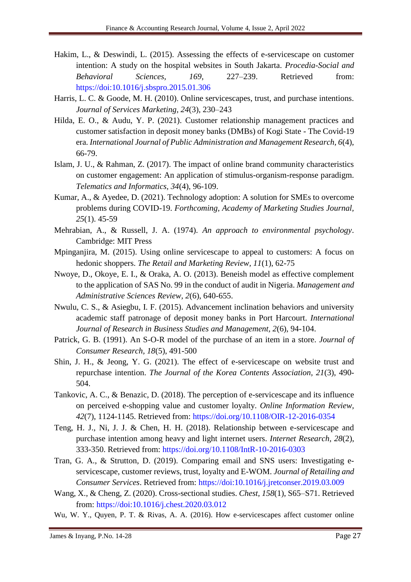- Hakim, L., & Deswindi, L. (2015). Assessing the effects of e-servicescape on customer intention: A study on the hospital websites in South Jakarta. *Procedia-Social and Behavioral Sciences, 169*, 227–239. Retrieved from: <https://doi:10.1016/j.sbspro.2015.01.306>
- Harris, L. C. & Goode, M. H. (2010). Online servicescapes, trust, and purchase intentions. *Journal of Services Marketing, 24*(3), 230–243
- Hilda, E. O., & Audu, Y. P. (2021). Customer relationship management practices and customer satisfaction in deposit money banks (DMBs) of Kogi State - The Covid-19 era. *International Journal of Public Administration and Management Research, 6*(4), 66-79.
- Islam, J. U., & Rahman, Z. (2017). The impact of online brand community characteristics on customer engagement: An application of stimulus-organism-response paradigm. *Telematics and Informatics, 34*(4), 96-109.
- Kumar, A., & Ayedee, D. (2021). Technology adoption: A solution for SMEs to overcome problems during COVID-19. *Forthcoming, Academy of Marketing Studies Journal, 25*(1). 45-59
- Mehrabian, A., & Russell, J. A. (1974). *An approach to environmental psychology*. Cambridge: MIT Press
- Mpinganjira, M. (2015). Using online servicescape to appeal to customers: A focus on hedonic shoppers. *The Retail and Marketing Review, 11*(1), 62-75
- Nwoye, D., Okoye, E. I., & Oraka, A. O. (2013). Beneish model as effective complement to the application of SAS No. 99 in the conduct of audit in Nigeria. *Management and Administrative Sciences Review, 2*(6), 640-655.
- Nwulu, C. S., & Asiegbu, I. F. (2015). Advancement inclination behaviors and university academic staff patronage of deposit money banks in Port Harcourt. *International Journal of Research in Business Studies and Management, 2*(6), 94-104.
- Patrick, G. B. (1991). An S-O-R model of the purchase of an item in a store. *Journal of Consumer Research, 18*(5), 491-500
- Shin, J. H., & Jeong, Y. G. (2021). The effect of e-servicescape on website trust and repurchase intention. *The Journal of the Korea Contents Association, 21*(3), 490- 504.
- Tankovic, A. C., & Benazic, D. (2018). The perception of e-servicescape and its influence on perceived e-shopping value and customer loyalty. *Online Information Review, 42*(7), 1124-1145. Retrieved from:<https://doi.org/10.1108/OIR-12-2016-0354>
- Teng, H. J., Ni, J. J. & Chen, H. H. (2018). Relationship between e-servicescape and purchase intention among heavy and light internet users. *Internet Research, 28*(2), 333-350. Retrieved from:<https://doi.org/10.1108/IntR-10-2016-0303>
- Tran, G. A., & Strutton, D. (2019). Comparing email and SNS users: Investigating eservicescape, customer reviews, trust, loyalty and E-WOM. *Journal of Retailing and Consumer Services*. Retrieved from:<https://doi:10.1016/j.jretconser.2019.03.009>
- Wang, X., & Cheng, Z. (2020). Cross-sectional studies. *Chest, 158*(1), S65–S71. Retrieved from:<https://doi:10.1016/j.chest.2020.03.012>
- Wu, W. Y., Quyen, P. T. & Rivas, A. A. (2016). How e-servicescapes affect customer online